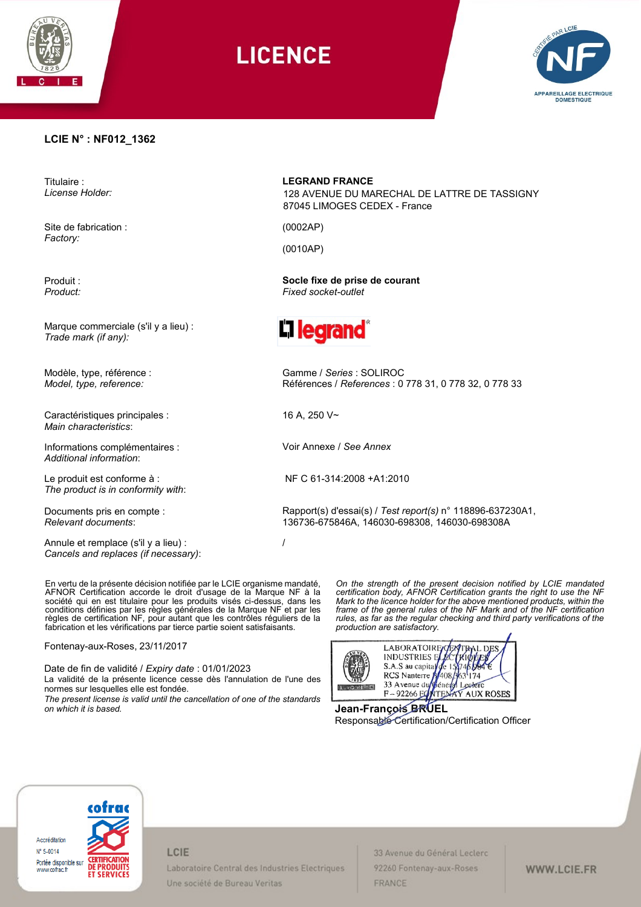

**LICENCE** 



## **LCIE N° : NF012\_1362**

Titulaire : *License Holder:*

Site de fabrication : *Factory:*

Produit : *Product:*

Marque commerciale (s'il y a lieu) : *Trade mark (if any):*

Modèle, type, référence : *Model, type, reference:*

Caractéristiques principales : *Main characteristics*:

Informations complémentaires : *Additional information*:

Le produit est conforme à : *The product is in conformity with*:

Documents pris en compte : *Relevant documents*:

Annule et remplace (s'il y a lieu) : *Cancels and replaces (if necessary)*:

En vertu de la présente décision notifiée par le LCIE organisme mandaté, AFNOR Certification accorde le droit d'usage de la Marque NF à la société qui en est titulaire pour les produits visés ci-dessus, dans les conditions définies par les règles générales de la Marque NF et par les règles de certification NF, pour autant que les contrôles réguliers de la fabrication et les vérifications par tierce partie soient satisfaisants.

Fontenay-aux-Roses, 23/11/2017

Date de fin de validité / *Expiry date* : 01/01/2023 La validité de la présente licence cesse dès l'annulation de l'une des normes sur lesquelles elle est fondée.

*The present license is valid until the cancellation of one of the standards on which it is based.* **Jean-François BRUEL** 

**LEGRAND FRANCE**

128 AVENUE DU MARECHAL DE LATTRE DE TASSIGNY 87045 LIMOGES CEDEX - France

(0002AP)

(0010AP)

**Socle fixe de prise de courant** *Fixed socket-outlet*



Gamme / *Series* : SOLIROC Références / *References* : 0 778 31, 0 778 32, 0 778 33

16 A, 250 V~

/

Voir Annexe / *See Annex*

NF C 61-314:2008 +A1:2010

Rapport(s) d'essai(s) / *Test report(s)* n° 118896-637230A1, 136736-675846A, 146030-698308, 146030-698308A

> *On the strength of the present decision notified by LCIE mandated certification body, AFNOR Certification grants the right to use the NF Mark to the licence holder for the above mentioned products, within the frame of the general rules of the NF Mark and of the NF certification rules, as far as the regular checking and third party verifications of the production are satisfactory.*



Responsable Certification/Certification Officer



### LCIE

Laboratoire Central des Industries Electriques Une société de Bureau Veritas

33 Avenue du Général Leclerc 92260 Fontenay-aux-Roses FRANCE

#### WWW.LCIE.FR